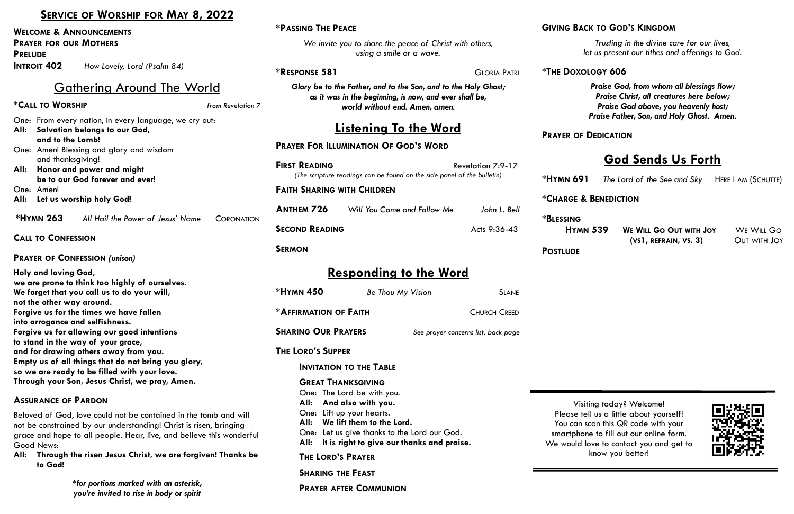## **SERVICE OF WORSHIP FOR MAY 8, 2022**

#### **\*PASSING THE PEACE** *We invite you to share the peace of Christ with others, using a smile or a wave.* **\*RESPONSE 581** GLORIA PATRI *Glory be to the Father, and to the Son, and to the Holy Ghost; as it was in the beginning, is now, and ever shall be, world without end. Amen, amen.* **Listening To the Word PRAYER FOR ILLUMINATION OF GOD'S WORD FIRST READING** Revelation 7:9-17 *(The scripture readings can be found on the side panel of the bulletin)* **FAITH SHARING WITH CHILDREN ANTHEM 726** *Will You Come and Follow Me John L. Bell* **SECOND READING EXAMPLE 2:36-43 Acts 9:36-43 SERMON Responding to the Word \*HYMN 450** *Be Thou My Vision* SLANE **\*AFFIRMATION OF FAITH** CHURCH CREED **SHARING OUR PRAYERS** *See prayer concerns list, back page* **THE LORD'S SUPPER INVITATION TO THE TABLE GREAT THANKSGIVING** One: The Lord be with you. **All: And also with you.** One: Lift up your hearts. **All: We lift them to the Lord.** One: Let us give thanks to the Lord our God. **All: It is right to give our thanks and praise. THE LORD'S PRAYER SHARING THE FEAST PRAYER AFTER COMMUNION WELCOME & ANNOUNCEMENTS PRAYER FOR OUR MOTHERS PRELUDE INTROIT 402** *How Lovely, Lord (Psalm 84)* Gathering Around The World **\*CALL TO WORSHIP** *from Revelation 7* One: From every nation, in every language, we cry out: **All: Salvation belongs to our God, and to the Lamb!** One: Amen! Blessing and glory and wisdom and thanksgiving! **All: Honor and power and might be to our God forever and ever!** One: Amen! **All: Let us worship holy God! \*HYMN 263** *All Hail the Power of Jesus' Name* CORONATION **CALL TO CONFESSION PRAYER OF CONFESSION** *(unison)*  **Holy and loving God, we are prone to think too highly of ourselves. We forget that you call us to do your will, not the other way around. Forgive us for the times we have fallen into arrogance and selfishness. Forgive us for allowing our good intentions to stand in the way of your grace, and for drawing others away from you. Empty us of all things that do not bring you glory, so we are ready to be filled with your love. Through your Son, Jesus Christ, we pray, Amen. ASSURANCE OF PARDON**  Beloved of God, love could not be contained in the tomb and will not be constrained by our understanding! Christ is risen, bringing grace and hope to all people. Hear, live, and believe this wonderful Good News: **All: Through the risen Jesus Christ, we are forgiven! Thanks be to God!** *\*for portions marked with an asterisk,*  **GIVING BACK TO GOD'S KINGDOM \*THE DOXOLOGY 606 PRAYER OF DEDICATION God Sends Us Forth \*CHARGE & BENEDICTION \*BLESSING** **POSTLUDE**  Visiting today? Welcome! Please tell us a little about yourself! You can scan this QR code with your smartphone to fill out our online form. We would love to contact you and get to know you better!

*you're invited to rise in body or spirit*

*Trusting in the divine care for our lives, let us present our tithes and offerings to God.*

*Praise God, from whom all blessings flow; Praise Christ, all creatures here below; Praise God above, you heavenly host; Praise Father, Son, and Holy Ghost. Amen.*

**\*HYMN 691** *The Lord of the See and Sky* HERE I AM (SCHUTTE)

| <b>HYMN 539</b> | <b>WE WILL GO OUT WITH JOY</b> | WE WILL GO   |
|-----------------|--------------------------------|--------------|
|                 | (VS1, REFRAIN, VS. 3)          | OUT WITH JOY |